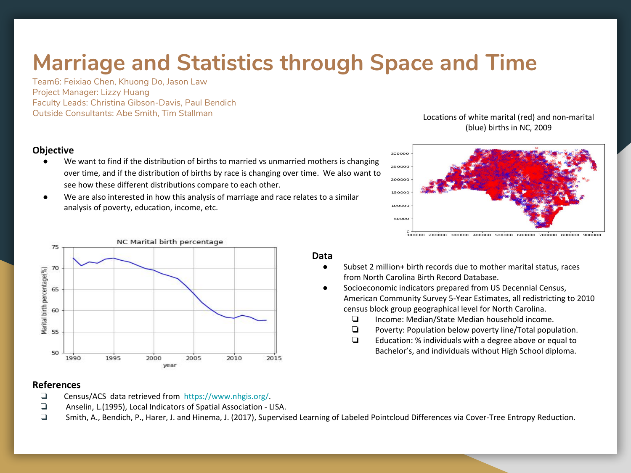# **Marriage and Statistics through Space and Time**

Team6: Feixiao Chen, Khuong Do, Jason Law Project Manager: Lizzy Huang Faculty Leads: Christina Gibson-Davis, Paul Bendich Outside Consultants: Abe Smith, Tim Stallman

## **Objective**

- We want to find if the distribution of births to married vs unmarried mothers is changing over time, and if the distribution of births by race is changing over time. We also want to see how these different distributions compare to each other.
- We are also interested in how this analysis of marriage and race relates to a similar analysis of poverty, education, income, etc.

### Locations of white marital (red) and non-marital (blue) births in NC, 2009





### **References**

- ❏ Census/ACS data retrieved from [https://www.nhgis.org/.](https://www.nhgis.org/)
- ❏ Anselin, L.(1995), Local Indicators of Spatial Association LISA.
- ❏ Smith, A., Bendich, P., Harer, J. and Hinema, J. (2017), Supervised Learning of Labeled Pointcloud Differences via Cover-Tree Entropy Reduction.

#### **Data**

- Subset 2 million+ birth records due to mother marital status, races from North Carolina Birth Record Database.
- Socioeconomic indicators prepared from US Decennial Census, American Community Survey 5-Year Estimates, all redistricting to 2010 census block group geographical level for North Carolina.
	- ❏ Income: Median/State Median household income.
	- ❏ Poverty: Population below poverty line/Total population.
	- ❏ Education: % individuals with a degree above or equal to Bachelor's, and individuals without High School diploma.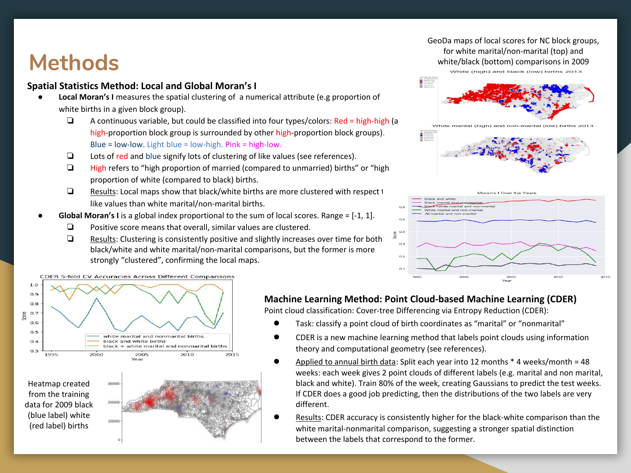# **Methods**

# **Spatial Statistics Method: Local and Global Moran's I**

- **Local Moran's I** measures the spatial clustering of a numerical attribute (e.g proportion of white births in a given block group).
	- ❏ A continuous variable, but could be classified into four types/colors: Red = high-high (a high-proportion block group is surrounded by other high-proportion block groups). Blue = low-low. Light blue = low-high. Pink = high-low.
	- ❏ Lots of red and blue signify lots of clustering of like values (see references).
	- ❏ High refers to "high proportion of married (compared to unmarried) births" or "high proportion of white (compared to black) births.
	- ❏ Results: Local maps show that black/white births are more clustered with respect to like values than white marital/non-marital births.
- **Global Moran's I** is a global index proportional to the sum of local scores. Range = [-1, 1].
	- ❏ Positive score means that overall, similar values are clustered.
	- ❏ Results: Clustering is consistently positive and slightly increases over time for both black/white and white marital/non-marital comparisons, but the former is more strongly "clustered", confirming the local maps.

CDER 5-fold CV Accuracies Across Different Comparisons





**Machine Learning Method: Point Cloud-based Machine Learning (CDER)**

Point cloud classification: Cover-tree Differencing via Entropy Reduction (CDER):

- Task: classify a point cloud of birth coordinates as "marital" or "nonmarital"
- CDER is a new machine learning method that labels point clouds using information theory and computational geometry (see references).
- Applied to annual birth data: Split each year into 12 months  $*$  4 weeks/month = 48 weeks: each week gives 2 point clouds of different labels (e.g. marital and non marital, black and white). Train 80% of the week, creating Gaussians to predict the test weeks. If CDER does a good job predicting, then the distributions of the two labels are very different.
- Results: CDER accuracy is consistently higher for the black-white comparison than the white marital-nonmarital comparison, suggesting a stronger spatial distinction between the labels that correspond to the former.

GeoDa maps of local scores for NC block groups, for white marital/non-marital (top) and white/black (bottom) comparisons in 2009 White (high) and black (low) births 2013

**Constitution**<br> **Constitution**<br> **Constitution**<br> **Constitution**<br> **Constitution** 

White marital (high) and non-marital (low) births 2013